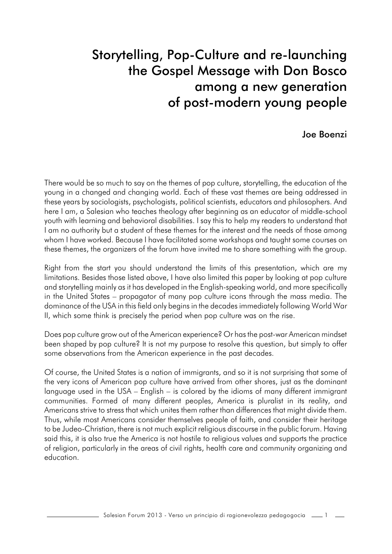# Storytelling, Pop-Culture and re-launching the Gospel Message with Don Bosco among a new generation of post-modern young people

#### Joe Boenzi

There would be so much to say on the themes of pop culture, storytelling, the education of the young in a changed and changing world. Each of these vast themes are being addressed in these years by sociologists, psychologists, political scientists, educators and philosophers. And here I am, a Salesian who teaches theology after beginning as an educator of middle-school youth with learning and behavioral disabilities. I say this to help my readers to understand that I am no authority but a student of these themes for the interest and the needs of those among whom I have worked. Because I have facilitated some workshops and taught some courses on these themes, the organizers of the forum have invited me to share something with the group.

Right from the start you should understand the limits of this presentation, which are my limitations. Besides those listed above, I have also limited this paper by looking at pop culture and storytelling mainly as it has developed in the English-speaking world, and more specifically in the United States – propagator of many pop culture icons through the mass media. The dominance of the USA in this field only begins in the decades immediately following World War II, which some think is precisely the period when pop culture was on the rise.

Does pop culture grow out of the American experience? Or has the post-war American mindset been shaped by pop culture? It is not my purpose to resolve this question, but simply to offer some observations from the American experience in the past decades.

Of course, the United States is a nation of immigrants, and so it is not surprising that some of the very icons of American pop culture have arrived from other shores, just as the dominant language used in the USA – English – is colored by the idioms of many different immigrant communities. Formed of many different peoples, America is pluralist in its reality, and Americans strive to stress that which unites them rather than differences that might divide them. Thus, while most Americans consider themselves people of faith, and consider their heritage to be Judeo-Christian, there is not much explicit religious discourse in the public forum. Having said this, it is also true the America is not hostile to religious values and supports the practice of religion, particularly in the areas of civil rights, health care and community organizing and education.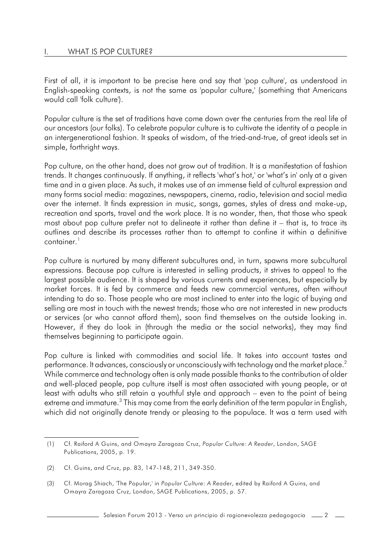First of all, it is important to be precise here and say that 'pop culture', as understood in English-speaking contexts, is not the same as 'popular culture,' (something that Americans would call 'folk culture').

Popular culture is the set of traditions have come down over the centuries from the real life of our ancestors (our folks). To celebrate popular culture is to cultivate the identity of a people in an intergenerational fashion. It speaks of wisdom, of the tried-and-true, of great ideals set in simple, forthright ways.

Pop culture, on the other hand, does not grow out of tradition. It is a manifestation of fashion trends. It changes continuously. If anything, it reflects 'what's hot,' or 'what's in' only at a given time and in a given place. As such, it makes use of an immense field of cultural expression and many forms social media: magazines, newspapers, cinema, radio, television and social media over the internet. It finds expression in music, songs, games, styles of dress and make-up, recreation and sports, travel and the work place. It is no wonder, then, that those who speak most about pop culture prefer not to delineate it rather than define it – that is, to trace its outlines and describe its processes rather than to attempt to confine it within a definitive container.<sup>1</sup>

Pop culture is nurtured by many different subcultures and, in turn, spawns more subcultural expressions. Because pop culture is interested in selling products, it strives to appeal to the largest possible audience. It is shaped by various currents and experiences, but especially by market forces. It is fed by commerce and feeds new commercial ventures, often without intending to do so. Those people who are most inclined to enter into the logic of buying and selling are most in touch with the newest trends; those who are not interested in new products or services (or who cannot afford them), soon find themselves on the outside looking in. However, if they do look in (through the media or the social networks), they may find themselves beginning to participate again.

Pop culture is linked with commodities and social life. It takes into account tastes and performance. It advances, consciously or unconsciously with technology and the market place. $^2$ While commerce and technology often is only made possible thanks to the contribution of older and well-placed people, pop culture itself is most often associated with young people, or at least with adults who still retain a youthful style and approach – even to the point of being extreme and immature.<sup>3</sup> This may come from the early definition of the term popular in English, which did not originally denote trendy or pleasing to the populace. It was a term used with

Salesian Forum 2013 - Verso un principio di ragionevolezza pedagogocia 2

<sup>(1)</sup> Cf. Raiford A Guins, and Omayra Zaragoza Cruz, *Popular Culture: A Reader*, London, SAGE Publications, 2005, p. 19.

<sup>(2)</sup> Cf. Guins, and Cruz, pp. 83, 147-148, 211, 349-350.

<sup>(3)</sup> Cf. Morag Shiach, 'The Popular,' in *Popular Culture: A Reader*, edited by Raiford A Guins, and Omayra Zaragoza Cruz, London, SAGE Publications, 2005, p. 57.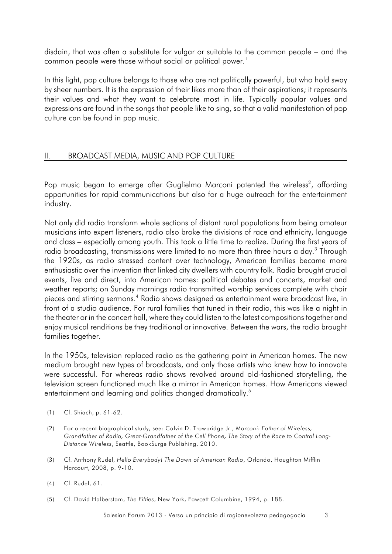disdain, that was often a substitute for vulgar or suitable to the common people – and the common people were those without social or political power.<sup>1</sup>

In this light, pop culture belongs to those who are not politically powerful, but who hold sway by sheer numbers. It is the expression of their likes more than of their aspirations; it represents their values and what they want to celebrate most in life. Typically popular values and expressions are found in the songs that people like to sing, so that a valid manifestation of pop culture can be found in pop music.

#### II. BROADCAST MEDIA, MUSIC AND POP CULTURE

Pop music began to emerge after Guglielmo Marconi patented the wireless<sup>2</sup>, affording opportunities for rapid communications but also for a huge outreach for the entertainment industry.

Not only did radio transform whole sections of distant rural populations from being amateur musicians into expert listeners, radio also broke the divisions of race and ethnicity, language and class – especially among youth. This took a little time to realize. During the first years of radio broadcasting, transmissions were limited to no more than three hours a day.<sup>3</sup> Through the 1920s, as radio stressed content over technology, American families became more enthusiastic over the invention that linked city dwellers with country folk. Radio brought crucial events, live and direct, into American homes: political debates and concerts, market and weather reports; on Sunday mornings radio transmitted worship services complete with choir pieces and stirring sermons.<sup>4</sup> Radio shows designed as entertainment were broadcast live, in front of a studio audience. For rural families that tuned in their radio, this was like a night in the theater or in the concert hall, where they could listen to the latest compositions together and enjoy musical renditions be they traditional or innovative. Between the wars, the radio brought families together.

In the 1950s, television replaced radio as the gathering point in American homes. The new medium brought new types of broadcasts, and only those artists who knew how to innovate were successful. For whereas radio shows revolved around old-fashioned storytelling, the television screen functioned much like a mirror in American homes. How Americans viewed entertainment and learning and politics changed dramatically.<sup>5</sup>

- (3) Cf. Anthony Rudel, *Hello Everybody! The Dawn of American Radio*, Orlando, Houghton Mifflin Harcourt, 2008, p. 9-10.
- (4) Cf. Rudel, 61.
- (5) Cf. David Halberstam, *The Fifties*, New York, Fawcett Columbine, 1994, p. 188.

Salesian Forum 2013 - Verso un principio di ragionevolezza pedagogocia  $\sim$  3

<sup>(1)</sup> Cf. Shiach, p. 61-62.

<sup>(2)</sup> For a recent biographical study, see: Calvin D. Trowbridge Jr., *Marconi: Father of Wireless, Grandfather of Radio, Great-Grandfather of the Cell Phone, The Story of the Race to Control Long-Distance Wireless*, Seattle, BookSurge Publishing, 2010.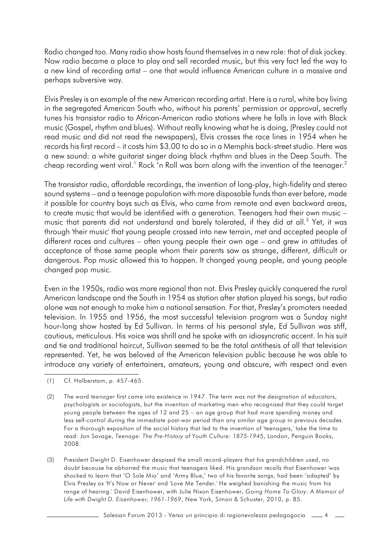Radio changed too. Many radio show hosts found themselves in a new role: that of disk jockey. Now radio became a place to play and sell recorded music, but this very fact led the way to a new kind of recording artist – one that would influence American culture in a massive and perhaps subversive way.

Elvis Presley is an example of the new American recording artist. Here is a rural, white boy living in the segregated American South who, without his parents' permission or approval, secretly tunes his transistor radio to African-American radio stations where he falls in love with Black music (Gospel, rhythm and blues). Without really knowing what he is doing, (Presley could not read music and did not read the newspapers), Elvis crosses the race lines in 1954 when he records his first record – it costs him \$3.00 to do so in a Memphis back-street studio. Here was a new sound: a white guitarist singer doing black rhythm and blues in the Deep South. The cheap recording went viral.<sup>1</sup> Rock 'n Roll was born along with the invention of the teenager.<sup>2</sup>

The transistor radio, affordable recordings, the invention of long-play, high-fidelity and stereo sound systems – and a teenage population with more disposable funds than ever before, made it possible for country boys such as Elvis, who came from remote and even backward areas, to create music that would be identified with a generation. Teenagers had their own music – music that parents did not understand and barely tolerated, if they did at all.<sup>3</sup> Yet, it was through 'their music' that young people crossed into new terrain, met and accepted people of different races and cultures – often young people their own age – and grew in attitudes of acceptance of those same people whom their parents saw as strange, different, difficult or dangerous. Pop music allowed this to happen. It changed young people, and young people changed pop music.

Even in the 1950s, radio was more regional than not. Elvis Presley quickly conquered the rural American landscape and the South in 1954 as station after station played his songs, but radio alone was not enough to make him a national sensation. For that, Presley's promoters needed television. In 1955 and 1956, the most successful television program was a Sunday night hour-long show hosted by Ed Sullivan. In terms of his personal style, Ed Sullivan was stiff, cautious, meticulous. His voice was shrill and he spoke with an idiosyncratic accent. In his suit and tie and traditional haircut, Sullivan seemed to be the total antithesis of all that television represented. Yet, he was beloved of the American television public because he was able to introduce any variety of entertainers, amateurs, young and obscure, with respect and even

(3) President Dwight D. Eisenhower despised the small record-players that his grandchildren used, no doubt because he abhorred the music that teenagers liked. His grandson recalls that Eisenhower 'was shocked to learn that 'O Sole Mio' and 'Army Blue,' two of his favorite songs, had been 'adapted' by Elvis Presley as 'It's Now or Never' and 'Love Me Tender.' He weighed banishing the music from his range of hearing.' David Eisenhower, with Julie Nixon Eisenhower, *Going Home To Glory: A Memoir of Life with Dwight D. Eisenhower, 1961-1969*, New York, Simon & Schuster, 2010, p. 85.

Salesian Forum 2013 - Verso un principio di ragionevolezza pedagogocia 4

<sup>(1)</sup> Cf. Halberstam, p. 457-465.

<sup>(2)</sup> The word *teenager* first came into existence in 1947. The term was not the designation of educators, psychologists or sociologists, but the invention of marketing men who recognized that they could target young people between the ages of 12 and 25 – an age group that had more spending money and less self-control during the immediate post-war period than any similar age group in previous decades. For a thorough exposition of the social history that led to the invention of 'teenagers,' take the time to read: Jon Savage, *Teenage: The Pre-History of Youth Culture: 1875-1945*, London, Penguin Books, 2008.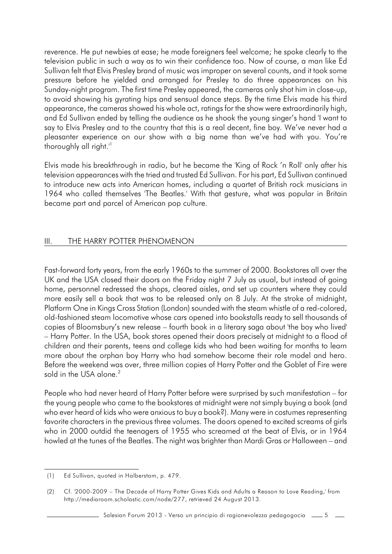reverence. He put newbies at ease; he made foreigners feel welcome; he spoke clearly to the television public in such a way as to win their confidence too. Now of course, a man like Ed Sullivan felt that Elvis Presley brand of music was improper on several counts, and it took some pressure before he yielded and arranged for Presley to do three appearances on his Sunday-night program. The first time Presley appeared, the cameras only shot him in close-up, to avoid showing his gyrating hips and sensual dance steps. By the time Elvis made his third appearance, the cameras showed his whole act, ratings for the show were extraordinarily high, and Ed Sullivan ended by telling the audience as he shook the young singer's hand 'I want to say to Elvis Presley and to the country that this is a real decent, fine boy. We've never had a pleasanter experience on our show with a big name than we've had with you. You're thoroughly all right.<sup>"</sup>

Elvis made his breakthrough in radio, but he became the 'King of Rock 'n Roll' only after his television appearances with the tried and trusted Ed Sullivan. For his part, Ed Sullivan continued to introduce new acts into American homes, including a quartet of British rock musicians in 1964 who called themselves 'The Beatles.' With that gesture, what was popular in Britain became part and parcel of American pop culture.

#### III. THE HARRY POTTER PHENOMENON

Fast-forward forty years, from the early 1960s to the summer of 2000. Bookstores all over the UK and the USA closed their doors on the Friday night 7 July as usual, but instead of going home, personnel redressed the shops, cleared aisles, and set up counters where they could more easily sell a book that was to be released only on 8 July. At the stroke of midnight, Platform One in Kings Cross Station (London) sounded with the steam whistle of a red-colored, old-fashioned steam locomotive whose cars opened into bookstalls ready to sell thousands of copies of Bloomsbury's new release – fourth book in a literary saga about 'the boy who lived' – Harry Potter. In the USA, book stores opened their doors precisely at midnight to a flood of children and their parents, teens and college kids who had been waiting for months to learn more about the orphan boy Harry who had somehow become their role model and hero. Before the weekend was over, three million copies of Harry Potter and the Goblet of Fire were sold in the USA alone.<sup>2</sup>

People who had never heard of Harry Potter before were surprised by such manifestation – for the young people who came to the bookstores at midnight were not simply buying a book (and who ever heard of kids who were anxious to buy a book?). Many were in costumes representing favorite characters in the previous three volumes. The doors opened to excited screams of girls who in 2000 outdid the teenagers of 1955 who screamed at the beat of Elvis, or in 1964 howled at the tunes of the Beatles. The night was brighter than Mardi Gras or Halloween – and

<sup>(1)</sup> Ed Sullivan, quoted in Halberstam, p. 479.

<sup>(2)</sup> Cf. '2000-2009 – The Decade of Harry Potter Gives Kids and Adults a Reason to Love Reading,' from http://mediaroom.scholastic.com/node/277, retrieved 24 August 2013.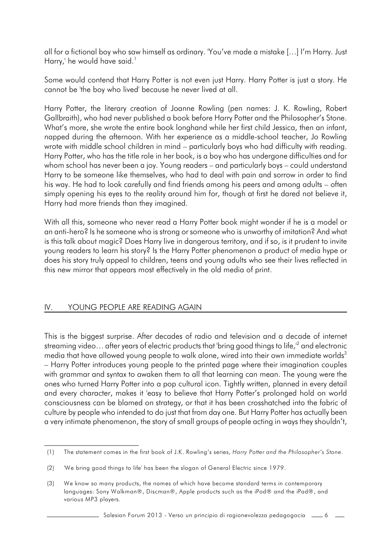all for a fictional boy who saw himself as ordinary. 'You've made a mistake […] I'm Harry. Just Harry,' he would have said.<sup>1</sup>

Some would contend that Harry Potter is not even just Harry. Harry Potter is just a story. He cannot be 'the boy who lived' because he never lived at all.

Harry Potter, the literary creation of Joanne Rowling (pen names: J. K. Rowling, Robert Gallbraith), who had never published a book before Harry Potter and the Philosopher's Stone. What's more, she wrote the entire book longhand while her first child Jessica, then an infant, napped during the afternoon. With her experience as a middle-school teacher, Jo Rowling wrote with middle school children in mind – particularly boys who had difficulty with reading. Harry Potter, who has the title role in her book, is a boy who has undergone difficulties and for whom school has never been a joy. Young readers – and particularly boys – could understand Harry to be someone like themselves, who had to deal with pain and sorrow in order to find his way. He had to look carefully and find friends among his peers and among adults – often simply opening his eyes to the reality around him for, though at first he dared not believe it, Harry had more friends than they imagined.

With all this, someone who never read a Harry Potter book might wonder if he is a model or an anti-hero? Is he someone who is strong orsomeone who is unworthy of imitation? And what is this talk about magic? Does Harry live in dangerous territory, and if so, is it prudent to invite young readers to learn his story? Is the Harry Potter phenomenon a product of media hype or does his story truly appeal to children, teens and young adults who see their lives reflected in this new mirror that appears most effectively in the old media of print.

#### IV. YOUNG PEOPLE ARE READING AGAIN

This is the biggest surprise. After decades of radio and television and a decade of internet streaming video... after years of electric products that 'bring good things to life, $^2$  and electronic media that have allowed young people to walk alone, wired into their own immediate worlds<sup>3</sup> – Harry Potter introduces young people to the printed page where their imagination couples with grammar and syntax to awaken them to all that learning can mean. The young were the ones who turned Harry Potter into a pop cultural icon. Tightly written, planned in every detail and every character, makes it 'easy to believe that Harry Potter's prolonged hold on world consciousness can be blamed on strategy, or that it has been crosshatched into the fabric of culture by people who intended to do just that from day one. But Harry Potter has actually been a very intimate phenomenon, the story of small groups of people acting in ways they shouldn't,

Salesian Forum 2013 - Verso un principio di ragionevolezza pedagogocia  $\sim$ 6

<sup>(1)</sup> The statement comes in the first book of J.K. Rowling's series, *Harry Potter and the Philosopher's Stone*.

<sup>(2)</sup> 'We bring good things to life' has been the slogan of General Electric since 1979.

<sup>(3)</sup> We know so many products, the names of which have become standard terms in contemporary languages: Sony Walkman®, Discman®, Apple products such as the iPod® and the iPad®, and various MP3 players.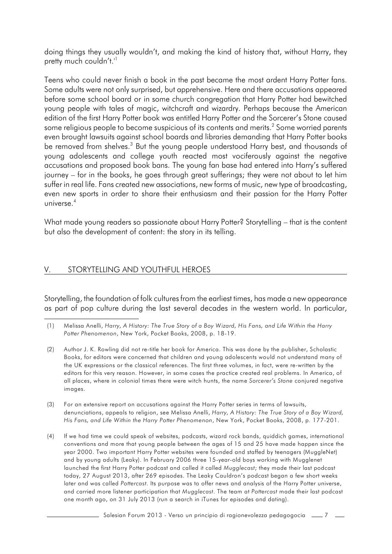doing things they usually wouldn't, and making the kind of history that, without Harry, they pretty much couldn't."

Teens who could never finish a book in the past became the most ardent Harry Potter fans. Some adults were not only surprised, but apprehensive. Here and there accusations appeared before some school board or in some church congregation that Harry Potter had bewitched young people with tales of magic, witchcraft and wizardry. Perhaps because the American edition of the first Harry Potter book was entitled Harry Potter and the Sorcerer's Stone caused some religious people to become suspicious of its contents and merits. $^{\text{2}}$  Some worried parents even brought lawsuits against school boards and libraries demanding that Harry Potter books be removed from shelves.<sup>3</sup> But the young people understood Harry best, and thousands of young adolescents and college youth reacted most vociferously against the negative accusations and proposed book bans. The young fan base had entered into Harry's suffered journey – for in the books, he goes through great sufferings; they were not about to let him suffer in real life. Fans created new associations, new forms of music, new type of broadcasting, even new sports in order to share their enthusiasm and their passion for the Harry Potter universe. 4

What made young readers so passionate about Harry Potter? Storytelling – that is the content but also the development of content: the story in its telling.

#### V. STORYTELLING AND YOUTHFUL HEROES

Storytelling, the foundation of folk cultures from the earliest times, has made a new appearance as part of pop culture during the last several decades in the western world. In particular,

- (3) For an extensive report on accusations against the Harry Potter series in terms of lawsuits, denunciations, appeals to religion, see Melissa Anelli, *Harry, A History: The True Story of a Boy Wizard, His Fans, and Life Within the Harry Potter Phenomenon*, New York, Pocket Books, 2008, p. 177-201.
- (4) If we had time we could speak of websites, podcasts, wizard rock bands, quiddich games, international conventions and more that young people between the ages of 15 and 25 have made happen since the year 2000. Two important Harry Potter websites were founded and staffed by teenagers (MuggleNet) and by young adults (Leaky). In February 2006 three 15-year-old boys working with Mugglenet launched the first Harry Potter podcast and called it called *Mugglecast*; they made their last podcast today, 27 August 2013, after 269 episodes. The Leaky Cauldron's podcast began a few short weeks later and was called *Pottercast*. Its purpose was to offer news and analysis of the Harry Potter universe, and carried more listener participation that *Mugglecast*. The team at *Pottercast* made their last podcast one month ago, on 31 July 2013 (run a search in iTunes for episodes and dating).

Salesian Forum 2013 - Verso un principio di ragionevolezza pedagogocia 7

<sup>(1)</sup> Melissa Anelli, *Harry, A History: The True Story of a Boy Wizard, His Fans, and Life Within the Harry Potter Phenomenon*, New York, Pocket Books, 2008, p. 18-19.

<sup>(2)</sup> Author J. K. Rowling did not re-title her book for America. This was done by the publisher, Scholastic Books, for editors were concerned that children and young adolescents would not understand many of the UK expressions or the classical references. The first three volumes, in fact, were re-written by the editors for this very reason. However, in some cases the practice created real problems. In America, of all places, where in colonial times there were witch hunts, the name *Sorcerer's Stone* conjured negative images.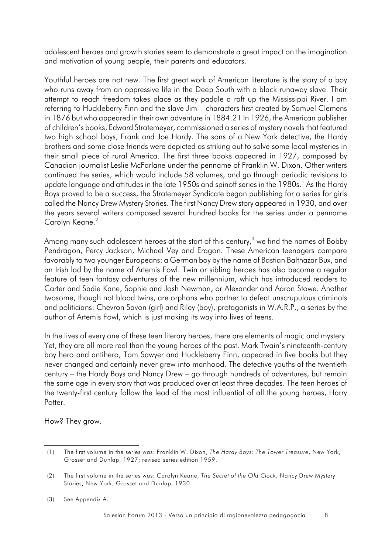adolescent heroes and growth stories seem to demonstrate a great impact on the imagination and motivation of young people, their parents and educators.

Youthful heroes are not new. The first great work of American literature is the story of a boy who runs away from an oppressive life in the Deep South with a black runaway slave. Their attempt to reach freedom takes place as they paddle a raft up the Mississippi River. I am referring to Huckleberry Finn and the slave Jim – characters first created by Samuel Clemens in 1876 but who appeared in their own adventure in 1884.21 In 1926, the American publisher of children's books, Edward Stratemeyer, commissioned a series of mystery novels that featured two high school boys, Frank and Joe Hardy. The sons of a New York detective, the Hardy brothers and some close friends were depicted as striking out to solve some local mysteries in their small piece of rural America. The first three books appeared in 1927, composed by Canadian journalist Leslie McFarlane under the penname of Franklin W. Dixon. Other writers continued the series, which would include 58 volumes, and go through periodic revisions to update language and attitudes in the late 1950s and spinoff series in the 1980s.<sup>1</sup> As the Hardy Boys proved to be a success, the Stratemeyer Syndicate began publishing for a series for girls called the Nancy Drew Mystery Stories. The first Nancy Drew story appeared in 1930, and over the years several writers composed several hundred books for the series under a penname Carolyn Keane.<sup>2</sup>

Among many such adolescent heroes at the start of this century,<sup>3</sup> we find the names of Bobby Pendragon, Percy Jackson, Michael Vey and Eragon. These American teenagers compare favorably to two younger Europeans: a German boy by the name of Bastian Balthazar Bux, and an Irish lad by the name of Artemis Fowl. Twin or sibling heroes has also become a regular feature of teen fantasy adventures of the new millennium, which has introduced readers to Carter and Sadie Kane, Sophie and Josh Newman, or Alexander and Aaron Stowe. Another twosome, though not blood twins, are orphans who partner to defeat unscrupulous criminals and politicians: Chevron Savon (girl) and Riley (boy), protagonists in W.A.R.P., a series by the author of Artemis Fowl, which is just making its way into lives of teens.

In the lives of every one of these teen literary heroes, there are elements of magic and mystery. Yet, they are all more real than the young heroes of the past. Mark Twain's nineteenth-century boy hero and antihero, Tom Sawyer and Huckleberry Finn, appeared in five books but they never changed and certainly never grew into manhood. The detective youths of the twentieth century – the Hardy Boys and Nancy Drew – go through hundreds of adventures, but remain the same age in every story that was produced over at least three decades. The teen heroes of the twenty-first century follow the lead of the most influential of all the young heroes, Harry Potter.

How? They grow.

Salesian Forum 2013 - Verso un principio di ragionevolezza pedagogocia  $\quad \, = \, 8$ 

<sup>(1)</sup> The first volume in the series was: Franklin W. Dixon, *The Hardy Boys: The Tower Treasure*, New York, Grosset and Dunlap, 1927; revised series edition 1959.

<sup>(2)</sup> The first volume in the series was: Carolyn Keane, *The Secret of the Old Clock*, Nancy Drew Mystery Stories, New York, Grosset and Dunlap, 1930.

<sup>(3)</sup> See Appendix A.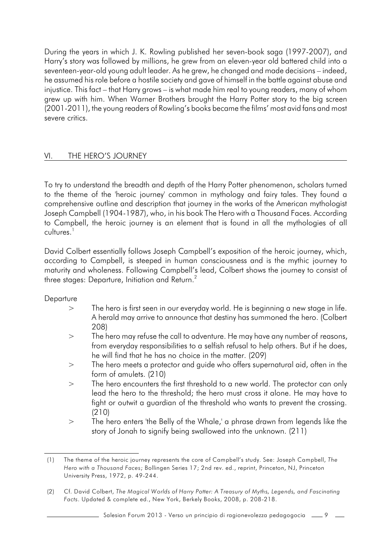During the years in which J. K. Rowling published her seven-book saga (1997-2007), and Harry's story was followed by millions, he grew from an eleven-year old battered child into a seventeen-year-old young adult leader. As he grew, he changed and made decisions – indeed, he assumed his role before a hostile society and gave of himself in the battle against abuse and injustice. This fact – that Harry grows – is what made him real to young readers, many of whom grew up with him. When Warner Brothers brought the Harry Potter story to the big screen (2001-2011), the young readers of Rowling's books became the films' most avid fans and most severe critics.

#### VI. THE HERO'S JOURNEY

To try to understand the breadth and depth of the Harry Potter phenomenon, scholars turned to the theme of the 'heroic journey' common in mythology and fairy tales. They found a comprehensive outline and description that journey in the works of the American mythologist Joseph Campbell (1904-1987), who, in his book The Hero with a Thousand Faces. According to Campbell, the heroic journey is an element that is found in all the mythologies of all cultures.<sup>1</sup>

David Colbert essentially follows Joseph Campbell's exposition of the heroic journey, which, according to Campbell, is steeped in human consciousness and is the mythic journey to maturity and wholeness. Following Campbell's lead, Colbert shows the journey to consist of three stages: Departure, Initiation and Return.<sup>2</sup>

#### **Departure**

- > The hero is first seen in our everyday world. He is beginning a new stage in life. A herald may arrive to announce that destiny has summoned the hero. (Colbert 208)
- > The hero may refuse the call to adventure. He may have any number of reasons, from everyday responsibilities to a selfish refusal to help others. But if he does, he will find that he has no choice in the matter. (209)
- > The hero meets a protector and guide who offers supernatural aid, often in the form of amulets. (210)
- > The hero encounters the first threshold to a new world. The protector can only lead the hero to the threshold; the hero must cross it alone. He may have to fight or outwit a guardian of the threshold who wants to prevent the crossing. (210)
- > The hero enters 'the Belly of the Whale,' a phrase drawn from legends like the story of Jonah to signify being swallowed into the unknown. (211)

<sup>(1)</sup> The theme of the heroic journey represents the core of Campbell's study. See: Joseph Campbell, *The Hero with a Thousand Faces*; Bollingen Series 17; 2nd rev. ed., reprint, Princeton, NJ, Princeton University Press, 1972, p. 49-244.

<sup>(2)</sup> Cf. David Colbert, *The Magical Worlds of Harry Potter: A Treasury of Myths, Legends, and Fascinating Facts*. Updated & complete ed., New York, Berkely Books, 2008, p. 208-218.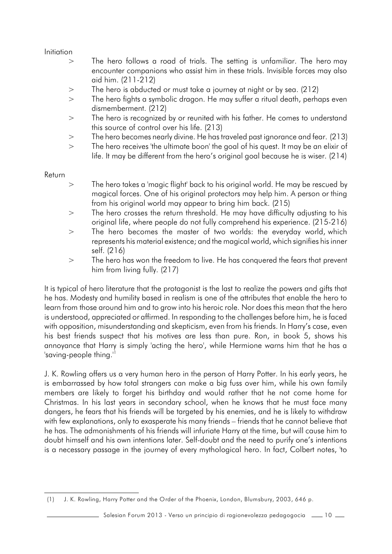Initiation

- > The hero follows a road of trials. The setting is unfamiliar. The hero may encounter companions who assist him in these trials. Invisible forces may also aid him. (211-212)
- > The hero is abducted or must take a journey at night or by sea. (212)
- > The hero fights a symbolic dragon. He may suffer a ritual death, perhaps even dismemberment. (212)
- > The hero is recognized by or reunited with his father. He comes to understand this source of control over his life. (213)
- > The hero becomes nearly divine. He has traveled past ignorance and fear. (213)
- > The hero receives 'the ultimate boon' the goal of his quest. It may be an elixir of life. It may be different from the hero's original goal because he is wiser. (214)

#### Return

- > The hero takes a 'magic flight' back to his original world. He may be rescued by magical forces. One of his original protectors may help him. A person or thing from his original world may appear to bring him back. (215)
- > The hero crosses the return threshold. He may have difficulty adjusting to his original life, where people do not fully comprehend his experience. (215-216)
- > The hero becomes the master of two worlds: the everyday world, which represents his material existence; and the magical world, which signifies his inner self. (216)
- > The hero has won the freedom to live. He has conquered the fears that prevent him from living fully. (217)

It is typical of hero literature that the protagonist is the last to realize the powers and gifts that he has. Modesty and humility based in realism is one of the attributes that enable the hero to learn from those around him and to grow into his heroic role. Nor does this mean that the hero is understood, appreciated or affirmed. In responding to the challenges before him, he is faced with opposition, misunderstanding and skepticism, even from his friends. In Harry's case, even his best friends suspect that his motives are less than pure. Ron, in book 5, shows his annoyance that Harry is simply 'acting the hero', while Hermione warns him that he has a 'saving-people thing.'<sup>1</sup>

J. K. Rowling offers us a very human hero in the person of Harry Potter. In his early years, he is embarrassed by how total strangers can make a big fuss over him, while his own family members are likely to forget his birthday and would rather that he not come home for Christmas. In his last years in secondary school, when he knows that he must face many dangers, he fears that his friends will be targeted by his enemies, and he is likely to withdraw with few explanations, only to exasperate his many friends – friends that he cannot believe that he has. The admonishments of his friends will infuriate Harry at the time, but will cause him to doubt himself and his own intentions later. Self-doubt and the need to purify one's intentions is a necessary passage in the journey of every mythological hero. In fact, Colbert notes, 'to

<sup>(1)</sup> J. K. Rowling, Harry Potter and the Order of the Phoenix, London, Blumsbury, 2003, 646 p.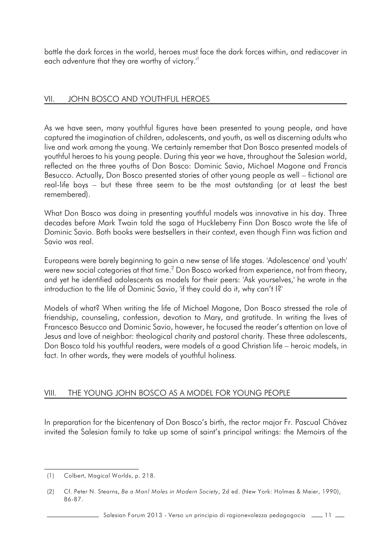battle the dark forces in the world, heroes must face the dark forces within, and rediscover in each adventure that they are worthy of victory."

#### VII. JOHN BOSCO AND YOUTHFUL HEROES

As we have seen, many youthful figures have been presented to young people, and have captured the imagination of children, adolescents, and youth, as well as discerning adults who live and work among the young. We certainly remember that Don Bosco presented models of youthful heroes to his young people. During this year we have, throughout the Salesian world, reflected on the three youths of Don Bosco: Dominic Savio, Michael Magone and Francis Besucco. Actually, Don Bosco presented stories of other young people as well – fictional are real-life boys – but these three seem to be the most outstanding (or at least the best remembered).

What Don Bosco was doing in presenting youthful models was innovative in his day. Three decades before Mark Twain told the saga of Huckleberry Finn Don Bosco wrote the life of Dominic Savio. Both books were bestsellers in their context, even though Finn was fiction and Savio was real.

Europeans were barely beginning to gain a new sense of life stages. 'Adolescence' and 'youth' were new social categories at that time. $^2$  Don Bosco worked from experience, not from theory, and yet he identified adolescents as models for their peers: 'Ask yourselves,' he wrote in the introduction to the life of Dominic Savio, 'if they could do it, why can't I?'

Models of what? When writing the life of Michael Magone, Don Bosco stressed the role of friendship, counseling, confession, devotion to Mary, and gratitude. In writing the lives of Francesco Besucco and Dominic Savio, however, he focused the reader's attention on love of Jesus and love of neighbor: theological charity and pastoral charity. These three adolescents, Don Bosco told his youthful readers, were models of a good Christian life – heroic models, in fact. In other words, they were models of youthful holiness.

#### VIII. THE YOUNG JOHN BOSCO AS A MODEL FOR YOUNG PEOPLE

In preparation for the bicentenary of Don Bosco's birth, the rector major Fr. Pascual Chávez invited the Salesian family to take up some of saint's principal writings: the Memoirs of the

Salesian Forum 2013 - Verso un principio di ragionevolezza pedagogocia  $\sim$  11 $\sim$ 

<sup>(1)</sup> Colbert, Magical Worlds, p. 218.

<sup>(2)</sup> Cf. Peter N. Stearns, *Be a Man! Males in Modern Society*, 2d ed. (New York: Holmes & Meier, 1990), 86-87.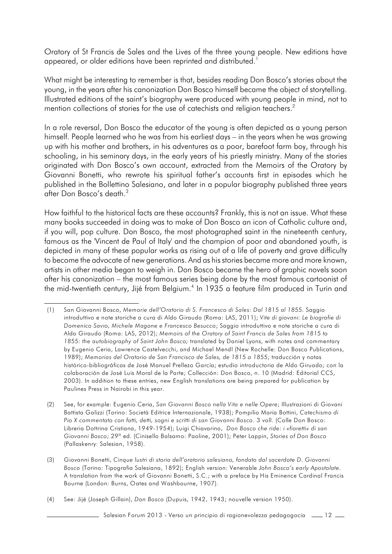Oratory of St Francis de Sales and the Lives of the three young people. New editions have appeared, or older editions have been reprinted and distributed.<sup>1</sup>

What might be interesting to remember is that, besides reading Don Bosco's stories about the young, in the years after his canonization Don Bosco himself became the object of storytelling. Illustrated editions of the saint's biography were produced with young people in mind, not to mention collections of stories for the use of catechists and religion teachers.<sup>2</sup>

In a role reversal, Don Bosco the educator of the young is often depicted as a young person himself. People learned who he was from his earliest days – in the years when he was growing up with his mother and brothers, in his adventures as a poor, barefoot farm boy, through his schooling, in his seminary days, in the early years of his priestly ministry. Many of the stories originated with Don Bosco's own account, extracted from the Memoirs of the Oratory by Giovanni Bonetti, who rewrote his spiritual father's accounts first in episodes which he published in the Bollettino Salesiano, and later in a popular biography published three years after Don Bosco's death.<sup>3</sup>

How faithful to the historical facts are these accounts? Frankly, this is not an issue. What these many books succeeded in doing was to make of Don Bosco an icon of Catholic culture and, if you will, pop culture. Don Bosco, the most photographed saint in the nineteenth century, famous as the 'Vincent de Paul of Italy' and the champion of poor and abandoned youth, is depicted in many of these popular works as rising out of a life of poverty and grave difficulty to become the advocate of new generations. And as his stories became more and more known, artists in other media began to weigh in. Don Bosco became the hero of graphic novels soon after his canonization – the most famous series being done by the most famous cartoonist of the mid-twentieth century, Jijé from Belgium.<sup>4</sup> In 1935 a feature film produced in Turin and

(4) See: Jijé (Joseph Gillain), *Don Bosco* (Dupuis, 1942, 1943; nouvelle version 1950).

Salesian Forum 2013 - Verso un principio di ragionevolezza pedagogocia  $\sim$  12  $\sim$ 

<sup>(1)</sup> San Giovanni Bosco, *Memorie dell'Oratorio di S. Francesco di Sales: Dal 1815 al 1855.* Saggio introduttivo e note storiche a cura di Aldo Giraudo (Roma: LAS, 2011); *Vite di giovani: Le biografie di Domenico Savio, Michele Magone e Francesco Besucco*; Saggio introduttivo e note storiche a cura di Aldo Giraudo (Roma: LAS, 2012); *Memoirs of the Oratory of Saint Francis de Sales from 1815 to 1855: the autobiography of Saint John Bosco;* translated by Daniel Lyons, with notes and commentary by Eugenio Ceria, Lawrence Castelvecchi, and Michael Mendl (New Rochelle: Don Bosco Publications, 1989); *Memorias del Oratorio de San Francisco de Sales, de 1815 a 1855*; traducción y notas histórico-bibliográficas de José Manuel Prellezo García; estudio introductoria de Aldo Giruado; con la colaboración de José Luis Moral de la Parte; Collección: Don Bosco, n. 10 (Madrid: Editorial CCS, 2003). In addition to these entries, new English translations are being prepared for publication by Paulines Press in Nairobi in this year.

<sup>(2)</sup> See, for example: Eugenio Ceria, *San Giovanni Bosco nella Vita e nelle Opere*; Illustrazioni di Giovani Battista Galizzi (Torino: Società Editrice Internazionale, 1938); Pompilio Maria Bottini, *Catechismo di Pio X commentato con fatti, detti, sogni e scritti di san Giovanni Bosco*. 3 voll. (Colle Don Bosco: Libreria Dottrina Cristiana, 1949-1954); Luigi Chiavarino, *Don Bosco che ride: i «fioretti» di san Giovanni Bosco*; 29ª ed. (Cinisello Balsamo: Paoline, 2001); Peter Lappin, *Stories of Don Bosco* (Pallaskenry: Salesian, 1958).

<sup>(3)</sup> Giovanni Bonetti, *Cinque lustri di storia dell'oratorio salesiano, fondato dal sacerdote D. Giovanni Bosco* (Torino: Tipografia Salesiana, 1892); English version: Venerable *John Bosco's early Apostolate*. A translation from the work of Giovanni Bonetti, S.C.; with a preface by His Eminence Cardinal Francis Bourne (London: Burns, Oates and Washbourne, 1907).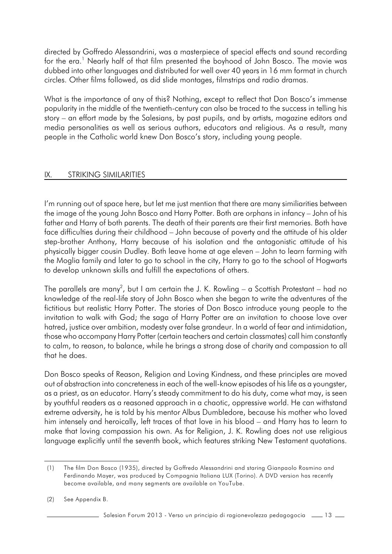directed by Goffredo Alessandrini, was a masterpiece of special effects and sound recording for the era.<sup>1</sup> Nearly half of that film presented the boyhood of John Bosco. The movie was dubbed into other languages and distributed for well over 40 years in 16 mm format in church circles. Other films followed, as did slide montages, filmstrips and radio dramas.

What is the importance of any of this? Nothing, except to reflect that Don Bosco's immense popularity in the middle of the twentieth-century can also be traced to the success in telling his story – an effort made by the Salesians, by past pupils, and by artists, magazine editors and media personalities as well as serious authors, educators and religious. As a result, many people in the Catholic world knew Don Bosco's story, including young people.

#### IX. STRIKING SIMILARITIES

I'm running out of space here, but let me just mention that there are many similiarities between the image of the young John Bosco and Harry Potter. Both are orphans in infancy – John of his father and Harry of both parents. The death of their parents are their first memories. Both have face difficulties during their childhood – John because of poverty and the attitude of his older step-brother Anthony, Harry because of his isolation and the antagonistic attitude of his physically bigger cousin Dudley. Both leave home at age eleven – John to learn farming with the Moglia family and later to go to school in the city, Harry to go to the school of Hogwarts to develop unknown skills and fulfill the expectations of others.

The parallels are many<sup>2</sup>, but I am certain the J. K. Rowling – a Scottish Protestant – had no knowledge of the real-life story of John Bosco when she began to write the adventures of the fictitious but realistic Harry Potter. The stories of Don Bosco introduce young people to the invitation to walk with God; the saga of Harry Potter are an invitation to choose love over hatred, justice over ambition, modesty over false grandeur. In a world of fear and intimidation, those who accompany Harry Potter (certain teachers and certain classmates) call him constantly to calm, to reason, to balance, while he brings a strong dose of charity and compassion to all that he does.

Don Bosco speaks of Reason, Religion and Loving Kindness, and these principles are moved out of abstraction into concreteness in each of the well-know episodes of his life as a youngster, as a priest, as an educator. Harry's steady commitment to do his duty, come what may, is seen by youthful readers as a reasoned approach in a chaotic, oppressive world. He can withstand extreme adversity, he is told by his mentor Albus Dumbledore, because his mother who loved him intensely and heroically, left traces of that love in his blood – and Harry has to learn to make that loving compassion his own. As for Religion, J. K. Rowling does not use religious language explicitly until the seventh book, which features striking New Testament quotations.

<sup>(1)</sup> The film Don Bosco (1935), directed by Goffredo Alessandrini and staring Gianpaolo Rosmino and Ferdinando Mayer, was produced by Compagnia Italiana LUX (Torino). A DVD version has recently become available, and many segments are available on YouTube.

<sup>(2)</sup> See Appendix B.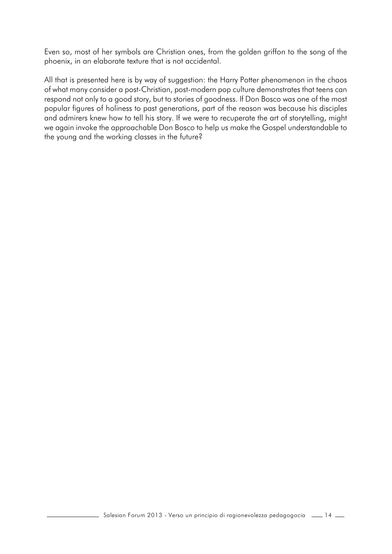Even so, most of her symbols are Christian ones, from the golden griffon to the song of the phoenix, in an elaborate texture that is not accidental.

All that is presented here is by way of suggestion: the Harry Potter phenomenon in the chaos of what many consider a post-Christian, post-modern pop culture demonstrates that teens can respond not only to a good story, but to stories of goodness. If Don Bosco was one of the most popular figures of holiness to past generations, part of the reason was because his disciples and admirers knew how to tell his story. If we were to recuperate the art of storytelling, might we again invoke the approachable Don Bosco to help us make the Gospel understandable to the young and the working classes in the future?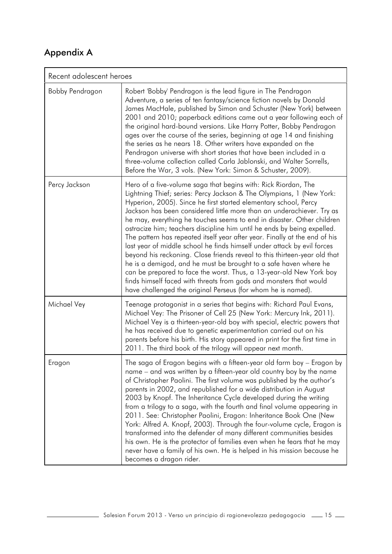## Appendix A

| Recent adolescent heroes |                                                                                                                                                                                                                                                                                                                                                                                                                                                                                                                                                                                                                                                                                                                                                                                                                                                                                                                                                                 |  |  |
|--------------------------|-----------------------------------------------------------------------------------------------------------------------------------------------------------------------------------------------------------------------------------------------------------------------------------------------------------------------------------------------------------------------------------------------------------------------------------------------------------------------------------------------------------------------------------------------------------------------------------------------------------------------------------------------------------------------------------------------------------------------------------------------------------------------------------------------------------------------------------------------------------------------------------------------------------------------------------------------------------------|--|--|
| Bobby Pendragon          | Robert 'Bobby' Pendragon is the lead figure in The Pendragon<br>Adventure, a series of ten fantasy/science fiction novels by Donald<br>James MacHale, published by Simon and Schuster (New York) between<br>2001 and 2010; paperback editions came out a year following each of<br>the original hard-bound versions. Like Harry Potter, Bobby Pendragon<br>ages over the course of the series, beginning at age 14 and finishing<br>the series as he nears 18. Other writers have expanded on the<br>Pendragon universe with short stories that have been included in a<br>three-volume collection called Carla Jablonski, and Walter Sorrells,<br>Before the War, 3 vols. (New York: Simon & Schuster, 2009).                                                                                                                                                                                                                                                  |  |  |
| Percy Jackson            | Hero of a five-volume saga that begins with: Rick Riordan, The<br>Lightning Thief; series: Percy Jackson & The Olympians, 1 (New York:<br>Hyperion, 2005). Since he first started elementary school, Percy<br>Jackson has been considered little more than an underachiever. Try as<br>he may, everything he touches seems to end in disaster. Other children<br>ostracize him; teachers discipline him until he ends by being expelled.<br>The pattern has repeated itself year after year. Finally at the end of his<br>last year of middle school he finds himself under attack by evil forces<br>beyond his reckoning. Close friends reveal to this thirteen-year old that<br>he is a demigod, and he must be brought to a safe haven where he<br>can be prepared to face the worst. Thus, a 13-year-old New York boy<br>finds himself faced with threats from gods and monsters that would<br>have challenged the original Perseus (for whom he is named). |  |  |
| Michael Vey              | Teenage protagonist in a series that begins with: Richard Paul Evans,<br>Michael Vey: The Prisoner of Cell 25 (New York: Mercury Ink, 2011).<br>Michael Vey is a thirteen-year-old boy with special, electric powers that<br>he has received due to genetic experimentation carried out on his<br>parents before his birth. His story appeared in print for the first time in<br>2011. The third book of the trilogy will appear next month.                                                                                                                                                                                                                                                                                                                                                                                                                                                                                                                    |  |  |
| Eragon                   | The saga of Eragon begins with a fifteen-year old farm boy – Eragon by<br>name – and was written by a fifteen-year old country boy by the name<br>of Christopher Paolini. The first volume was published by the author's<br>parents in 2002, and republished for a wide distribution in August<br>2003 by Knopf. The Inheritance Cycle developed during the writing<br>from a trilogy to a saga, with the fourth and final volume appearing in<br>2011. See: Christopher Paolini, Eragon: Inheritance Book One (New<br>York: Alfred A. Knopf, 2003). Through the four-volume cycle, Eragon is<br>transformed into the defender of many different communities besides<br>his own. He is the protector of families even when he fears that he may<br>never have a family of his own. He is helped in his mission because he<br>becomes a dragon rider.                                                                                                            |  |  |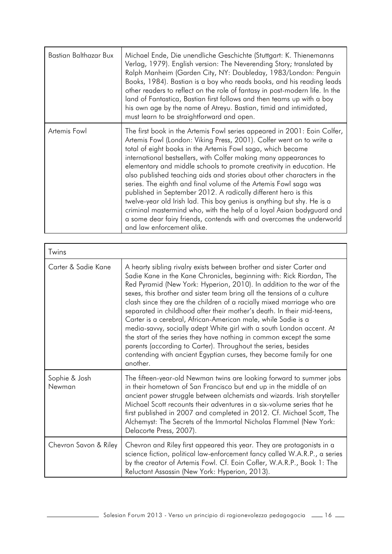| Bastian Balthazar Bux | Michael Ende, Die unendliche Geschichte (Stuttgart: K. Thienemanns<br>Verlag, 1979). English version: The Neverending Story; translated by<br>Ralph Manheim (Garden City, NY: Doubleday, 1983/London: Penguin<br>Books, 1984). Bastian is a boy who reads books, and his reading leads<br>other readers to reflect on the role of fantasy in post-modern life. In the<br>land of Fantastica, Bastian first follows and then teams up with a boy<br>his own age by the name of Atreyu. Bastian, timid and intimidated,<br>must learn to be straightforward and open.                                                                                                                                                                                                                                                                      |
|-----------------------|------------------------------------------------------------------------------------------------------------------------------------------------------------------------------------------------------------------------------------------------------------------------------------------------------------------------------------------------------------------------------------------------------------------------------------------------------------------------------------------------------------------------------------------------------------------------------------------------------------------------------------------------------------------------------------------------------------------------------------------------------------------------------------------------------------------------------------------|
| Artemis Fowl          | The first book in the Artemis Fowl series appeared in 2001: Eoin Colfer,<br>Artemis Fowl (London: Viking Press, 2001). Colfer went on to write a<br>total of eight books in the Artemis Fowl saga, which became<br>international bestsellers, with Colfer making many appearances to<br>elementary and middle schools to promote creativity in education. He<br>also published teaching aids and stories about other characters in the<br>series. The eighth and final volume of the Artemis Fowl saga was<br>published in September 2012. A radically different hero is this<br>twelve-year old Irish lad. This boy genius is anything but shy. He is a<br>criminal mastermind who, with the help of a loyal Asian bodyguard and<br>a some dear fairy friends, contends with and overcomes the underworld<br>and law enforcement alike. |

| Twins                   |                                                                                                                                                                                                                                                                                                                                                                                                                                                                                                                                                                                                                                                                                                                                                                                                                            |
|-------------------------|----------------------------------------------------------------------------------------------------------------------------------------------------------------------------------------------------------------------------------------------------------------------------------------------------------------------------------------------------------------------------------------------------------------------------------------------------------------------------------------------------------------------------------------------------------------------------------------------------------------------------------------------------------------------------------------------------------------------------------------------------------------------------------------------------------------------------|
| Carter & Sadie Kane     | A hearty sibling rivalry exists between brother and sister Carter and<br>Sadie Kane in the Kane Chronicles, beginning with: Rick Riordan, The<br>Red Pyramid (New York: Hyperion, 2010). In addition to the war of the<br>sexes, this brother and sister team bring all the tensions of a culture<br>clash since they are the children of a racially mixed marriage who are<br>separated in childhood after their mother's death. In their mid-teens,<br>Carter is a cerebral, African-American male, while Sadie is a<br>media-savvy, socially adept White girl with a south London accent. At<br>the start of the series they have nothing in common except the same<br>parents (according to Carter). Throughout the series, besides<br>contending with ancient Egyptian curses, they become family for one<br>another. |
| Sophie & Josh<br>Newman | The fifteen-year-old Newman twins are looking forward to summer jobs<br>in their hometown of San Francisco but end up in the middle of an<br>ancient power struggle between alchemists and wizards. Irish storyteller<br>Michael Scott recounts their adventures in a six-volume series that he<br>first published in 2007 and completed in 2012. Cf. Michael Scott, The<br>Alchemyst: The Secrets of the Immortal Nicholas Flammel (New York:<br>Delacorte Press, 2007).                                                                                                                                                                                                                                                                                                                                                  |
| Chevron Savon & Riley   | Chevron and Riley first appeared this year. They are protagonists in a<br>science fiction, political law-enforcement fancy called W.A.R.P., a series<br>by the creator of Artemis Fowl. Cf. Eoin Cofler, W.A.R.P., Book 1: The<br>Reluctant Assassin (New York: Hyperion, 2013).                                                                                                                                                                                                                                                                                                                                                                                                                                                                                                                                           |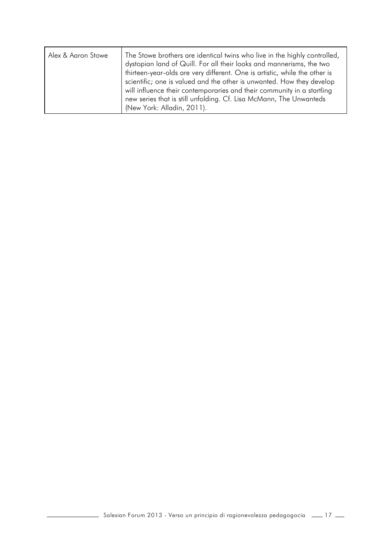| Alex & Aaron Stowe | The Stowe brothers are identical twins who live in the highly controlled,<br>dystopian land of Quill. For all their looks and mannerisms, the two<br>thirteen-year-olds are very different. One is artistic, while the other is<br>scientific; one is valued and the other is unwanted. How they develop<br>will influence their contemporaries and their community in a startling<br>new series that is still unfolding. Cf. Lisa McMann, The Unwanteds |
|--------------------|----------------------------------------------------------------------------------------------------------------------------------------------------------------------------------------------------------------------------------------------------------------------------------------------------------------------------------------------------------------------------------------------------------------------------------------------------------|
|                    | (New York: Alladin, 2011).                                                                                                                                                                                                                                                                                                                                                                                                                               |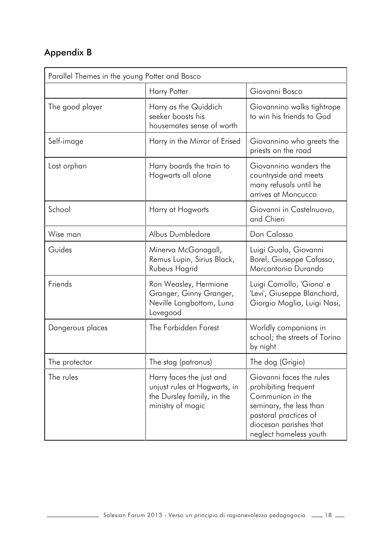## Appendix B

| Parallel Themes in the young Potter and Bosco |                                                                                                             |                                                                                                                                                                              |  |  |
|-----------------------------------------------|-------------------------------------------------------------------------------------------------------------|------------------------------------------------------------------------------------------------------------------------------------------------------------------------------|--|--|
|                                               | <b>Harry Potter</b>                                                                                         | Giovanni Bosco                                                                                                                                                               |  |  |
| The good player                               | Harry as the Quiddich<br>seeker boosts his<br>housemates sense of worth                                     | Giovannino walks tightrope<br>to win his friends to God                                                                                                                      |  |  |
| Self-image                                    | Harry in the Mirror of Erised                                                                               | Giovannino who greets the<br>priests on the road                                                                                                                             |  |  |
| Lost orphan                                   | Harry boards the train to<br>Hogwarts all alone                                                             | Giovannino wanders the<br>countryside and meets<br>many refusals until he<br>arrives at Moncucco                                                                             |  |  |
| School                                        | Harry at Hogwarts                                                                                           | Giovanni in Castelnuovo,<br>and Chieri                                                                                                                                       |  |  |
| Wise man                                      | Albus Dumbledore                                                                                            | Don Calosso                                                                                                                                                                  |  |  |
| Guides                                        | Minerva McGonagall,<br>Remus Lupin, Sirius Black,<br>Rubeus Hagrid                                          | Luigi Guala, Giovanni<br>Borel, Giuseppe Cafasso,<br>Marcantonio Durando                                                                                                     |  |  |
| Friends                                       | Ron Weasley, Hermione<br>Granger, Ginny Granger,<br>Neville Longbottom, Luna<br>Lovegood                    | Luigi Comollo, 'Giona' e<br>'Levi', Giuseppe Blanchard,<br>Giorgio Moglia, Luigi Nasi,                                                                                       |  |  |
| Dangerous places                              | The Forbidden Forest                                                                                        | Worldly companions in<br>school; the streets of Torino<br>by night                                                                                                           |  |  |
| The protector                                 | The stag (patronus)                                                                                         | The dog (Grigio)                                                                                                                                                             |  |  |
| The rules                                     | Harry faces the just and<br>unjust rules at Hogwarts, in<br>the Dursley family, in the<br>ministry of magic | Giovanni faces the rules<br>prohibiting frequent<br>Communion in the<br>seminary, the less than<br>pastoral practices of<br>diocesan parishes that<br>neglect homeless youth |  |  |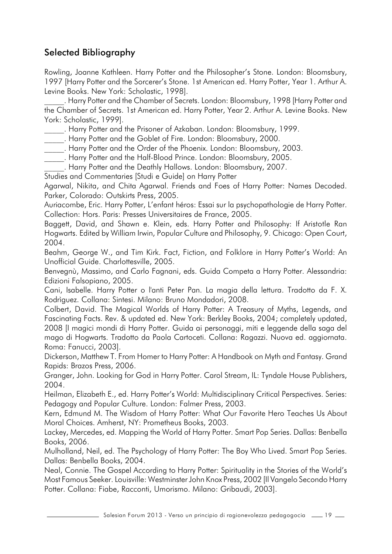### Selected Bibliography

Rowling, Joanne Kathleen. Harry Potter and the Philosopher's Stone. London: Bloomsbury, 1997 [Harry Potter and the Sorcerer's Stone. 1st American ed. Harry Potter, Year 1. Arthur A. Levine Books. New York: Scholastic, 1998].

\_\_\_\_\_. Harry Potter and the Chamber of Secrets. London: Bloomsbury, 1998 [Harry Potter and the Chamber of Secrets. 1st American ed. Harry Potter, Year 2. Arthur A. Levine Books. New York: Scholastic, 1999].

\_\_\_\_\_. Harry Potter and the Prisoner of Azkaban. London: Bloomsbury, 1999.

\_\_\_\_\_. Harry Potter and the Goblet of Fire. London: Bloomsbury, 2000.

\_\_\_\_\_. Harry Potter and the Order of the Phoenix. London: Bloomsbury, 2003.

\_\_\_\_\_. Harry Potter and the Half-Blood Prince. London: Bloomsbury, 2005.

\_\_\_\_\_. Harry Potter and the Deathly Hallows. London: Bloomsbury, 2007.

Studies and Commentaries [Studi e Guide] on Harry Potter

Agarwal, Nikita, and Chita Agarwal. Friends and Foes of Harry Potter: Names Decoded. Parker, Colorado: Outskirts Press, 2005.

Auriacombe, Eric. Harry Potter, L'enfant héros: Essai sur la psychopathologie de Harry Potter. Collection: Hors. Paris: Presses Universitaires de France, 2005.

Baggett, David, and Shawn e. Klein, eds. Harry Potter and Philosophy: If Aristotle Ran Hogwarts. Edited by William Irwin, Popular Culture and Philosophy, 9. Chicago: Open Court, 2004.

Beahm, George W., and Tim Kirk. Fact, Fiction, and Folklore in Harry Potter's World: An Unofficial Guide. Charlottesville, 2005.

Benvegnù, Massimo, and Carlo Fagnani, eds. Guida Competa a Harry Potter. Alessandria: Edizioni Falsopiano, 2005.

Cani, Isabelle. Harry Potter o l'anti Peter Pan. La magia della lettura. Tradotto da F. X. Rodrìguez. Collana: Sintesi. Milano: Bruno Mondadori, 2008.

Colbert, David. The Magical Worlds of Harry Potter: A Treasury of Myths, Legends, and Fascinating Facts. Rev. & updated ed. New York: Berkley Books, 2004; completely updated, 2008 [I magici mondi di Harry Potter. Guida ai personaggi, miti e leggende della saga del mago di Hogwarts. Tradotto da Paola Cartoceti. Collana: Ragazzi. Nuova ed. aggiornata. Roma: Fanucci, 2003].

Dickerson, Matthew T. From Homer to Harry Potter: A Handbook on Myth and Fantasy. Grand Rapids: Brazos Press, 2006.

Granger, John. Looking for God in Harry Potter. Carol Stream, IL: Tyndale House Publishers, 2004.

Heilman, Elizabeth E., ed. Harry Potter's World: Multidisciplinary Critical Perspectives. Series: Pedagogy and Popular Culture. London: Falmer Press, 2003.

Kern, Edmund M. The Wisdom of Harry Potter: What Our Favorite Hero Teaches Us About Moral Choices. Amherst, NY: Prometheus Books, 2003.

Lackey, Mercedes, ed. Mapping the World of Harry Potter. Smart Pop Series. Dallas: Benbella Books, 2006.

Mulholland, Neil, ed. The Psychology of Harry Potter: The Boy Who Lived. Smart Pop Series. Dallas: Benbella Books, 2004.

Neal, Connie. The Gospel According to Harry Potter: Spirituality in the Stories of the World's Most Famous Seeker. Louisville: Westminster John Knox Press, 2002 [Il Vangelo Secondo Harry Potter. Collana: Fiabe, Racconti, Umorismo. Milano: Gribaudi, 2003].